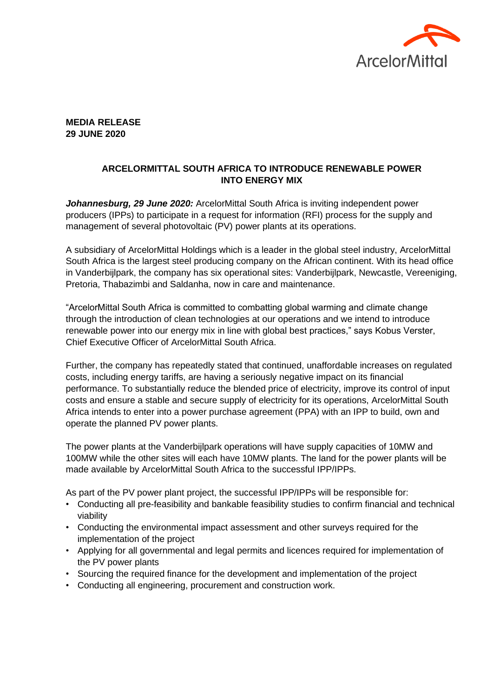

## **MEDIA RELEASE 29 JUNE 2020**

## **ARCELORMITTAL SOUTH AFRICA TO INTRODUCE RENEWABLE POWER INTO ENERGY MIX**

*Johannesburg, 29 June 2020:* ArcelorMittal South Africa is inviting independent power producers (IPPs) to participate in a request for information (RFI) process for the supply and management of several photovoltaic (PV) power plants at its operations.

A subsidiary of ArcelorMittal Holdings which is a leader in the global steel industry, ArcelorMittal South Africa is the largest steel producing company on the African continent. With its head office in Vanderbijlpark, the company has six operational sites: Vanderbijlpark, Newcastle, Vereeniging, Pretoria, Thabazimbi and Saldanha, now in care and maintenance.

"ArcelorMittal South Africa is committed to combatting global warming and climate change through the introduction of clean technologies at our operations and we intend to introduce renewable power into our energy mix in line with global best practices," says Kobus Verster, Chief Executive Officer of ArcelorMittal South Africa.

Further, the company has repeatedly stated that continued, unaffordable increases on regulated costs, including energy tariffs, are having a seriously negative impact on its financial performance. To substantially reduce the blended price of electricity, improve its control of input costs and ensure a stable and secure supply of electricity for its operations, ArcelorMittal South Africa intends to enter into a power purchase agreement (PPA) with an IPP to build, own and operate the planned PV power plants.

The power plants at the Vanderbijlpark operations will have supply capacities of 10MW and 100MW while the other sites will each have 10MW plants. The land for the power plants will be made available by ArcelorMittal South Africa to the successful IPP/IPPs.

As part of the PV power plant project, the successful IPP/IPPs will be responsible for:

- Conducting all pre-feasibility and bankable feasibility studies to confirm financial and technical viability
- Conducting the environmental impact assessment and other surveys required for the implementation of the project
- Applying for all governmental and legal permits and licences required for implementation of the PV power plants
- Sourcing the required finance for the development and implementation of the project
- Conducting all engineering, procurement and construction work.